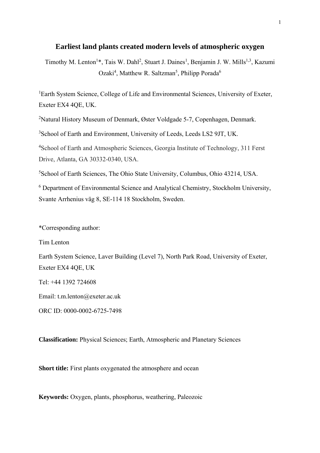# **Earliest land plants created modern levels of atmospheric oxygen**

Timothy M. Lenton<sup>1\*</sup>, Tais W. Dahl<sup>2</sup>, Stuart J. Daines<sup>1</sup>, Benjamin J. W. Mills<sup>1,3</sup>, Kazumi Ozaki<sup>4</sup>, Matthew R. Saltzman<sup>5</sup>, Philipp Porada<sup>6</sup>

<sup>1</sup>Earth System Science, College of Life and Environmental Sciences, University of Exeter, Exeter EX4 4QE, UK.

<sup>2</sup>Natural History Museum of Denmark, Øster Voldgade 5-7, Copenhagen, Denmark.

3 School of Earth and Environment, University of Leeds, Leeds LS2 9JT, UK.

4 School of Earth and Atmospheric Sciences, Georgia Institute of Technology, 311 Ferst Drive, Atlanta, GA 30332-0340, USA.

5 School of Earth Sciences, The Ohio State University, Columbus, Ohio 43214, USA.

6 Department of Environmental Science and Analytical Chemistry, Stockholm University, Svante Arrhenius väg 8, SE-114 18 Stockholm, Sweden.

\*Corresponding author:

Tim Lenton

Earth System Science, Laver Building (Level 7), North Park Road, University of Exeter, Exeter EX4 4QE, UK

Tel: +44 1392 724608

Email: t.m.lenton@exeter.ac.uk

ORC ID: 0000-0002-6725-7498

**Classification:** Physical Sciences; Earth, Atmospheric and Planetary Sciences

**Short title:** First plants oxygenated the atmosphere and ocean

**Keywords:** Oxygen, plants, phosphorus, weathering, Paleozoic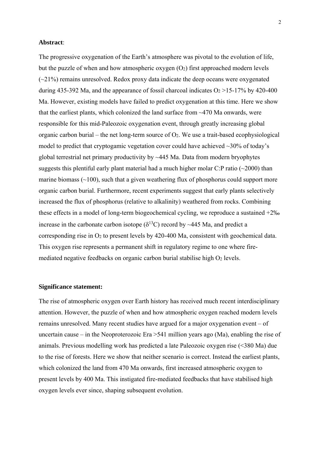# **Abstract**:

The progressive oxygenation of the Earth's atmosphere was pivotal to the evolution of life, but the puzzle of when and how atmospheric oxygen  $(O_2)$  first approached modern levels  $(\sim 21\%)$  remains unresolved. Redox proxy data indicate the deep oceans were oxygenated during 435-392 Ma, and the appearance of fossil charcoal indicates  $O_2 > 15-17\%$  by 420-400 Ma. However, existing models have failed to predict oxygenation at this time. Here we show that the earliest plants, which colonized the land surface from ~470 Ma onwards, were responsible for this mid-Paleozoic oxygenation event, through greatly increasing global organic carbon burial – the net long-term source of  $O_2$ . We use a trait-based ecophysiological model to predict that cryptogamic vegetation cover could have achieved  $\sim$ 30% of today's global terrestrial net primary productivity by ~445 Ma. Data from modern bryophytes suggests this plentiful early plant material had a much higher molar C:P ratio  $(\sim 2000)$  than marine biomass  $(\sim 100)$ , such that a given weathering flux of phosphorus could support more organic carbon burial. Furthermore, recent experiments suggest that early plants selectively increased the flux of phosphorus (relative to alkalinity) weathered from rocks. Combining these effects in a model of long-term biogeochemical cycling, we reproduce a sustained +2‰ increase in the carbonate carbon isotope ( $\delta^{13}$ C) record by ~445 Ma, and predict a corresponding rise in  $O_2$  to present levels by 420-400 Ma, consistent with geochemical data. This oxygen rise represents a permanent shift in regulatory regime to one where firemediated negative feedbacks on organic carbon burial stabilise high  $O<sub>2</sub>$  levels.

#### **Significance statement:**

The rise of atmospheric oxygen over Earth history has received much recent interdisciplinary attention. However, the puzzle of when and how atmospheric oxygen reached modern levels remains unresolved. Many recent studies have argued for a major oxygenation event – of uncertain cause – in the Neoproterozoic Era >541 million years ago (Ma), enabling the rise of animals. Previous modelling work has predicted a late Paleozoic oxygen rise (<380 Ma) due to the rise of forests. Here we show that neither scenario is correct. Instead the earliest plants, which colonized the land from 470 Ma onwards, first increased atmospheric oxygen to present levels by 400 Ma. This instigated fire-mediated feedbacks that have stabilised high oxygen levels ever since, shaping subsequent evolution.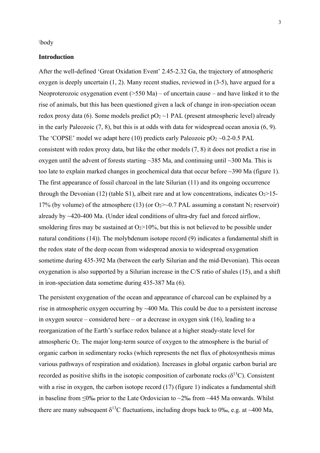\body

## **Introduction**

After the well-defined 'Great Oxidation Event' 2.45-2.32 Ga, the trajectory of atmospheric oxygen is deeply uncertain  $(1, 2)$ . Many recent studies, reviewed in  $(3-5)$ , have argued for a Neoproterozoic oxygenation event  $($ >550 Ma $)$  – of uncertain cause – and have linked it to the rise of animals, but this has been questioned given a lack of change in iron-speciation ocean redox proxy data (6). Some models predict  $pQ_2 \sim 1$  PAL (present atmospheric level) already in the early Paleozoic (7, 8), but this is at odds with data for widespread ocean anoxia (6, 9). The 'COPSE' model we adapt here (10) predicts early Paleozoic  $pO<sub>2</sub> \sim 0.2 - 0.5$  PAL consistent with redox proxy data, but like the other models (7, 8) it does not predict a rise in oxygen until the advent of forests starting  $\sim$ 385 Ma, and continuing until  $\sim$ 300 Ma. This is too late to explain marked changes in geochemical data that occur before ~390 Ma (figure 1). The first appearance of fossil charcoal in the late Silurian (11) and its ongoing occurrence through the Devonian (12) (table S1), albeit rare and at low concentrations, indicates  $O_2 > 15$ -17% (by volume) of the atmosphere (13) (or  $O_2$  >  $\sim$  0.7 PAL assuming a constant N<sub>2</sub> reservoir) already by  $\sim$ 420-400 Ma. (Under ideal conditions of ultra-dry fuel and forced airflow, smoldering fires may be sustained at  $O<sub>2</sub>$  > 10%, but this is not believed to be possible under natural conditions (14)). The molybdenum isotope record (9) indicates a fundamental shift in the redox state of the deep ocean from widespread anoxia to widespread oxygenation sometime during 435-392 Ma (between the early Silurian and the mid-Devonian). This ocean oxygenation is also supported by a Silurian increase in the C/S ratio of shales (15), and a shift in iron-speciation data sometime during 435-387 Ma (6).

The persistent oxygenation of the ocean and appearance of charcoal can be explained by a rise in atmospheric oxygen occurring by ~400 Ma. This could be due to a persistent increase in oxygen source – considered here – or a decrease in oxygen sink (16), leading to a reorganization of the Earth's surface redox balance at a higher steady-state level for atmospheric  $O_2$ . The major long-term source of oxygen to the atmosphere is the burial of organic carbon in sedimentary rocks (which represents the net flux of photosynthesis minus various pathways of respiration and oxidation). Increases in global organic carbon burial are recorded as positive shifts in the isotopic composition of carbonate rocks  $(\delta^{13}C)$ . Consistent with a rise in oxygen, the carbon isotope record (17) (figure 1) indicates a fundamental shift in baseline from ≤0‰ prior to the Late Ordovician to ~2‰ from ~445 Ma onwards. Whilst there are many subsequent  $\delta^{13}C$  fluctuations, including drops back to 0‰, e.g. at ~400 Ma,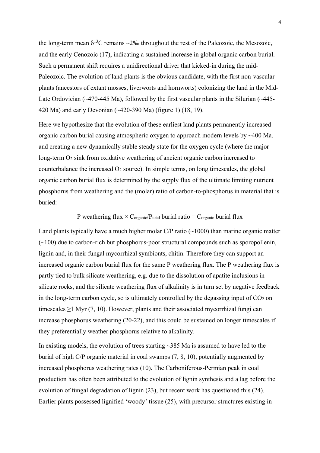the long-term mean  $\delta^{13}$ C remains ~2‰ throughout the rest of the Paleozoic, the Mesozoic, and the early Cenozoic (17), indicating a sustained increase in global organic carbon burial. Such a permanent shift requires a unidirectional driver that kicked-in during the mid-Paleozoic. The evolution of land plants is the obvious candidate, with the first non-vascular plants (ancestors of extant mosses, liverworts and hornworts) colonizing the land in the Mid-Late Ordovician (~470-445 Ma), followed by the first vascular plants in the Silurian (~445-420 Ma) and early Devonian (~420-390 Ma) (figure 1) (18, 19).

Here we hypothesize that the evolution of these earliest land plants permanently increased organic carbon burial causing atmospheric oxygen to approach modern levels by ~400 Ma, and creating a new dynamically stable steady state for the oxygen cycle (where the major long-term  $O_2$  sink from oxidative weathering of ancient organic carbon increased to counterbalance the increased  $O_2$  source). In simple terms, on long timescales, the global organic carbon burial flux is determined by the supply flux of the ultimate limiting nutrient phosphorus from weathering and the (molar) ratio of carbon-to-phosphorus in material that is buried:

# P weathering flux  $\times$  C<sub>organic</sub>/P<sub>total</sub> burial ratio = C<sub>organic</sub> burial flux

Land plants typically have a much higher molar  $C/P$  ratio ( $\sim$ 1000) than marine organic matter  $(\sim 100)$  due to carbon-rich but phosphorus-poor structural compounds such as sporopollenin, lignin and, in their fungal mycorrhizal symbionts, chitin. Therefore they can support an increased organic carbon burial flux for the same P weathering flux. The P weathering flux is partly tied to bulk silicate weathering, e.g. due to the dissolution of apatite inclusions in silicate rocks, and the silicate weathering flux of alkalinity is in turn set by negative feedback in the long-term carbon cycle, so is ultimately controlled by the degassing input of  $CO<sub>2</sub>$  on timescales  $\geq$ 1 Myr (7, 10). However, plants and their associated mycorrhizal fungi can increase phosphorus weathering (20-22), and this could be sustained on longer timescales if they preferentially weather phosphorus relative to alkalinity.

In existing models, the evolution of trees starting  $\sim$ 385 Ma is assumed to have led to the burial of high C/P organic material in coal swamps (7, 8, 10), potentially augmented by increased phosphorus weathering rates (10). The Carboniferous-Permian peak in coal production has often been attributed to the evolution of lignin synthesis and a lag before the evolution of fungal degradation of lignin (23), but recent work has questioned this (24). Earlier plants possessed lignified 'woody' tissue (25), with precursor structures existing in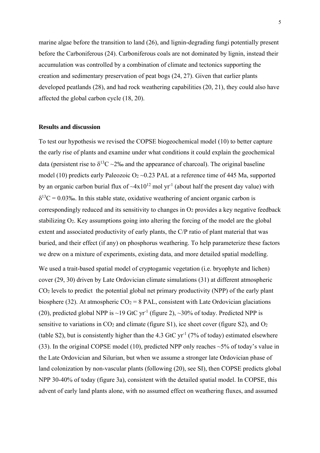marine algae before the transition to land (26), and lignin-degrading fungi potentially present before the Carboniferous (24). Carboniferous coals are not dominated by lignin, instead their accumulation was controlled by a combination of climate and tectonics supporting the creation and sedimentary preservation of peat bogs (24, 27). Given that earlier plants developed peatlands (28), and had rock weathering capabilities (20, 21), they could also have affected the global carbon cycle (18, 20).

# **Results and discussion**

To test our hypothesis we revised the COPSE biogeochemical model (10) to better capture the early rise of plants and examine under what conditions it could explain the geochemical data (persistent rise to  $\delta^{13}C \sim 2\%$  and the appearance of charcoal). The original baseline model (10) predicts early Paleozoic  $O_2 \sim 0.23$  PAL at a reference time of 445 Ma, supported by an organic carbon burial flux of  $-4x10^{12}$  mol yr<sup>-1</sup> (about half the present day value) with  $\delta^{13}C = 0.03\%$ . In this stable state, oxidative weathering of ancient organic carbon is correspondingly reduced and its sensitivity to changes in  $O<sub>2</sub>$  provides a key negative feedback stabilizing O2. Key assumptions going into altering the forcing of the model are the global extent and associated productivity of early plants, the C/P ratio of plant material that was buried, and their effect (if any) on phosphorus weathering. To help parameterize these factors we drew on a mixture of experiments, existing data, and more detailed spatial modelling.

We used a trait-based spatial model of cryptogamic vegetation (i.e. bryophyte and lichen) cover (29, 30) driven by Late Ordovician climate simulations (31) at different atmospheric CO2 levels to predict the potential global net primary productivity (NPP) of the early plant biosphere (32). At atmospheric  $CO_2 = 8$  PAL, consistent with Late Ordovician glaciations (20), predicted global NPP is ~19 GtC yr<sup>-1</sup> (figure 2), ~30% of today. Predicted NPP is sensitive to variations in  $CO<sub>2</sub>$  and climate (figure S1), ice sheet cover (figure S2), and  $O<sub>2</sub>$ (table S2), but is consistently higher than the 4.3 GtC yr<sup>-1</sup> (7% of today) estimated elsewhere (33). In the original COPSE model (10), predicted NPP only reaches ~5% of today's value in the Late Ordovician and Silurian, but when we assume a stronger late Ordovician phase of land colonization by non-vascular plants (following (20), see SI), then COPSE predicts global NPP 30-40% of today (figure 3a), consistent with the detailed spatial model. In COPSE, this advent of early land plants alone, with no assumed effect on weathering fluxes, and assumed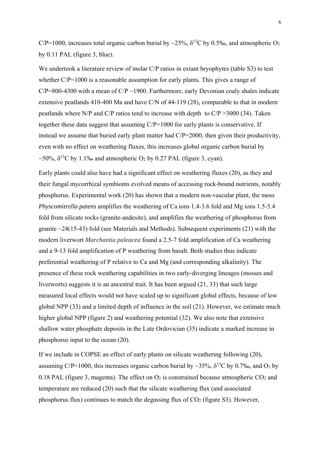C/P=1000, increases total organic carbon burial by ~25%,  $\delta^{13}$ C by 0.5‰, and atmospheric O<sub>2</sub> by 0.11 PAL (figure 3, blue).

We undertook a literature review of molar C/P ratios in extant bryophytes (table S3) to test whether  $C/P=1000$  is a reasonable assumption for early plants. This gives a range of  $C/P = 800-4300$  with a mean of  $C/P \sim 1900$ . Furthermore, early Devonian coaly shales indicate extensive peatlands 410-400 Ma and have C/N of 44-119 (28), comparable to that in modern peatlands where N/P and C/P ratios tend to increase with depth to C/P >3000 (34). Taken together these data suggest that assuming C/P=1000 for early plants is conservative. If instead we assume that buried early plant matter had C/P=2000, then given their productivity, even with no effect on weathering fluxes, this increases global organic carbon burial by ~50%,  $\delta^{13}$ C by 1.1‰ and atmospheric O<sub>2</sub> by 0.27 PAL (figure 3, cyan).

Early plants could also have had a significant effect on weathering fluxes (20), as they and their fungal mycorrhizal symbionts evolved means of accessing rock-bound nutrients, notably phosphorus. Experimental work (20) has shown that a modern non-vascular plant, the moss *Physcomitrella patens* amplifies the weathering of Ca ions 1.4-3.6 fold and Mg ions 1.5-5.4 fold from silicate rocks (granite-andesite), and amplifies the weathering of phosphorus from granite ~24(15-43) fold (see Materials and Methods). Subsequent experiments (21) with the modern liverwort *Marchantia paleacea* found a 2.5-7 fold amplification of Ca weathering and a 9-13 fold amplification of P weathering from basalt. Both studies thus indicate preferential weathering of P relative to Ca and Mg (and corresponding alkalinity). The presence of these rock weathering capabilities in two early-diverging lineages (mosses and liverworts) suggests it is an ancestral trait. It has been argued (21, 33) that such large measured local effects would not have scaled up to significant global effects, because of low global NPP (33) and a limited depth of influence in the soil (21). However, we estimate much higher global NPP (figure 2) and weathering potential (32). We also note that extensive shallow water phosphate deposits in the Late Ordovician (35) indicate a marked increase in phosphorus input to the ocean (20).

If we include in COPSE an effect of early plants on silicate weathering following (20), assuming C/P=1000, this increases organic carbon burial by ~35%,  $\delta^{13}$ C by 0.7‰, and O2 by 0.18 PAL (figure 3, magenta). The effect on  $O_2$  is constrained because atmospheric  $CO_2$  and temperature are reduced (20) such that the silicate weathering flux (and associated phosphorus flux) continues to match the degassing flux of  $CO<sub>2</sub>$  (figure S3). However,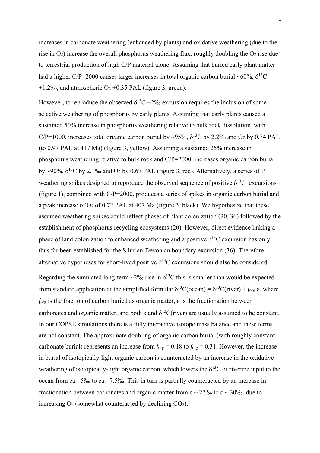increases in carbonate weathering (enhanced by plants) and oxidative weathering (due to the rise in  $O_2$ ) increase the overall phosphorus weathering flux, roughly doubling the  $O_2$  rise due to terrestrial production of high C/P material alone. Assuming that buried early plant matter had a higher C/P=2000 causes larger increases in total organic carbon burial ~60%,  $\delta^{13}$ C +1.2‰, and atmospheric  $O_2$  +0.35 PAL (figure 3, green).

However, to reproduce the observed  $\delta^{13}C + 2\%$  excursion requires the inclusion of some selective weathering of phosphorus by early plants. Assuming that early plants caused a sustained 50% increase in phosphorus weathering relative to bulk rock dissolution, with C/P=1000, increases total organic carbon burial by ~95%,  $\delta^{13}$ C by 2.2‰ and O<sub>2</sub> by 0.74 PAL (to 0.97 PAL at 417 Ma) (figure 3, yellow). Assuming a sustained 25% increase in phosphorus weathering relative to bulk rock and C/P=2000, increases organic carbon burial by ~90%,  $\delta^{13}$ C by 2.1‰ and O<sub>2</sub> by 0.67 PAL (figure 3, red). Alternatively, a series of P weathering spikes designed to reproduce the observed sequence of positive  $\delta^{13}C$  excursions (figure 1), combined with C/P=2000, produces a series of spikes in organic carbon burial and a peak increase of  $O_2$  of 0.72 PAL at 407 Ma (figure 3, black). We hypothesize that these assumed weathering spikes could reflect phases of plant colonization (20, 36) followed by the establishment of phosphorus recycling ecosystems (20). However, direct evidence linking a phase of land colonization to enhanced weathering and a positive  $\delta^{13}$ C excursion has only thus far been established for the Silurian-Devonian boundary excursion (36). Therefore alternative hypotheses for short-lived positive  $\delta^{13}$ C excursions should also be considered.

Regarding the simulated long-term ~2‰ rise in  $\delta^{13}$ C this is smaller than would be expected from standard application of the simplified formula:  $\delta^{13}C(\text{ocean}) = \delta^{13}C(\text{river}) + f_{\text{org}} \cdot \varepsilon$ , where  $f_{\text{org}}$  is the fraction of carbon buried as organic matter,  $\varepsilon$  is the fractionation between carbonates and organic matter, and both  $\varepsilon$  and  $\delta^{13}C$ (river) are usually assumed to be constant. In our COPSE simulations there is a fully interactive isotope mass balance and these terms are not constant. The approximate doubling of organic carbon burial (with roughly constant carbonate burial) represents an increase from  $f_{org} = 0.18$  to  $f_{org} = 0.31$ . However, the increase in burial of isotopically-light organic carbon is counteracted by an increase in the oxidative weathering of isotopically-light organic carbon, which lowers the  $\delta^{13}C$  of riverine input to the ocean from ca. -5‰ to ca. -7.5‰. This in turn is partially counteracted by an increase in fractionation between carbonates and organic matter from  $\epsilon \sim 27\%$  to  $\epsilon \sim 30\%$ , due to increasing  $O_2$  (somewhat counteracted by declining  $CO_2$ ).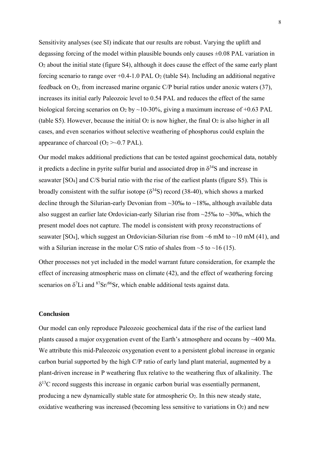Sensitivity analyses (see SI) indicate that our results are robust. Varying the uplift and degassing forcing of the model within plausible bounds only causes  $\pm 0.08$  PAL variation in O2 about the initial state (figure S4), although it does cause the effect of the same early plant forcing scenario to range over  $+0.4$ -1.0 PAL O<sub>2</sub> (table S4). Including an additional negative feedback on  $O_2$ , from increased marine organic C/P burial ratios under anoxic waters (37), increases its initial early Paleozoic level to 0.54 PAL and reduces the effect of the same biological forcing scenarios on  $O_2$  by ~10-30%, giving a maximum increase of +0.63 PAL (table S5). However, because the initial  $O_2$  is now higher, the final  $O_2$  is also higher in all cases, and even scenarios without selective weathering of phosphorus could explain the appearance of charcoal  $(O_2 \rightarrow 0.7 \text{ PAL})$ .

Our model makes additional predictions that can be tested against geochemical data, notably it predicts a decline in pyrite sulfur burial and associated drop in  $\delta^{34}S$  and increase in seawater [SO4] and C/S burial ratio with the rise of the earliest plants (figure S5). This is broadly consistent with the sulfur isotope  $(\delta^{34}S)$  record (38-40), which shows a marked decline through the Silurian-early Devonian from  $\sim$ 30‰ to  $\sim$ 18‰, although available data also suggest an earlier late Ordovician-early Silurian rise from  $\sim$ 25‰ to  $\sim$ 30‰, which the present model does not capture. The model is consistent with proxy reconstructions of seawater [SO<sub>4</sub>], which suggest an Ordovician-Silurian rise from  $\sim$ 6 mM to  $\sim$ 10 mM (41), and with a Silurian increase in the molar C/S ratio of shales from  $\sim$  5 to  $\sim$  16 (15).

Other processes not yet included in the model warrant future consideration, for example the effect of increasing atmospheric mass on climate (42), and the effect of weathering forcing scenarios on  $\delta^7$ Li and  $\delta^7$ Sr/ $\delta^6$ Sr, which enable additional tests against data.

# **Conclusion**

Our model can only reproduce Paleozoic geochemical data if the rise of the earliest land plants caused a major oxygenation event of the Earth's atmosphere and oceans by ~400 Ma. We attribute this mid-Paleozoic oxygenation event to a persistent global increase in organic carbon burial supported by the high C/P ratio of early land plant material, augmented by a plant-driven increase in P weathering flux relative to the weathering flux of alkalinity. The  $\delta^{13}$ C record suggests this increase in organic carbon burial was essentially permanent, producing a new dynamically stable state for atmospheric  $O<sub>2</sub>$ . In this new steady state, oxidative weathering was increased (becoming less sensitive to variations in  $O_2$ ) and new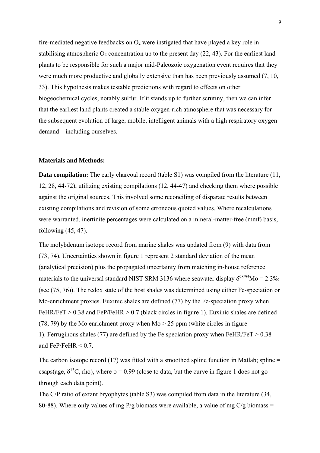fire-mediated negative feedbacks on  $O_2$  were instigated that have played a key role in stabilising atmospheric  $O_2$  concentration up to the present day  $(22, 43)$ . For the earliest land plants to be responsible for such a major mid-Paleozoic oxygenation event requires that they were much more productive and globally extensive than has been previously assumed (7, 10, 33). This hypothesis makes testable predictions with regard to effects on other biogeochemical cycles, notably sulfur. If it stands up to further scrutiny, then we can infer that the earliest land plants created a stable oxygen-rich atmosphere that was necessary for the subsequent evolution of large, mobile, intelligent animals with a high respiratory oxygen demand – including ourselves.

# **Materials and Methods:**

**Data compilation:** The early charcoal record (table S1) was compiled from the literature (11, 12, 28, 44-72), utilizing existing compilations (12, 44-47) and checking them where possible against the original sources. This involved some reconciling of disparate results between existing compilations and revision of some erroneous quoted values. Where recalculations were warranted, inertinite percentages were calculated on a mineral-matter-free (mmf) basis, following (45, 47).

The molybdenum isotope record from marine shales was updated from (9) with data from (73, 74). Uncertainties shown in figure 1 represent 2 standard deviation of the mean (analytical precision) plus the propagated uncertainty from matching in-house reference materials to the universal standard NIST SRM 3136 where seawater display  $\delta^{98/95}$ Mo = 2.3‰ (see (75, 76)). The redox state of the host shales was determined using either Fe-speciation or Mo-enrichment proxies. Euxinic shales are defined (77) by the Fe-speciation proxy when FeHR/FeT  $> 0.38$  and FeP/FeHR  $> 0.7$  (black circles in figure 1). Euxinic shales are defined (78, 79) by the Mo enrichment proxy when  $Mo > 25$  ppm (white circles in figure 1). Ferruginous shales (77) are defined by the Fe speciation proxy when FeHR/FeT  $> 0.38$ and FeP/FeHR  $< 0.7$ 

The carbon isotope record (17) was fitted with a smoothed spline function in Matlab; spline  $=$ csaps(age,  $\delta^{13}$ C, rho), where  $\rho = 0.99$  (close to data, but the curve in figure 1 does not go through each data point).

The C/P ratio of extant bryophytes (table S3) was compiled from data in the literature (34, 80-88). Where only values of mg P/g biomass were available, a value of mg C/g biomass =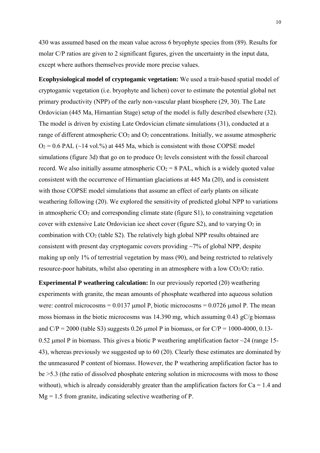430 was assumed based on the mean value across 6 bryophyte species from (89). Results for molar C/P ratios are given to 2 significant figures, given the uncertainty in the input data, except where authors themselves provide more precise values.

**Ecophysiological model of cryptogamic vegetation:** We used a trait-based spatial model of cryptogamic vegetation (i.e. bryophyte and lichen) cover to estimate the potential global net primary productivity (NPP) of the early non-vascular plant biosphere (29, 30). The Late Ordovician (445 Ma, Hirnantian Stage) setup of the model is fully described elsewhere (32). The model is driven by existing Late Ordovician climate simulations (31), conducted at a range of different atmospheric  $CO<sub>2</sub>$  and  $O<sub>2</sub>$  concentrations. Initially, we assume atmospheric  $O_2$  = 0.6 PAL (~14 vol.%) at 445 Ma, which is consistent with those COPSE model simulations (figure 3d) that go on to produce  $O_2$  levels consistent with the fossil charcoal record. We also initially assume atmospheric  $CO<sub>2</sub> = 8$  PAL, which is a widely quoted value consistent with the occurrence of Hirnantian glaciations at 445 Ma (20), and is consistent with those COPSE model simulations that assume an effect of early plants on silicate weathering following (20). We explored the sensitivity of predicted global NPP to variations in atmospheric CO2 and corresponding climate state (figure S1), to constraining vegetation cover with extensive Late Ordovician ice sheet cover (figure  $S_2$ ), and to varying  $O_2$  in combination with CO2 (table S2). The relatively high global NPP results obtained are consistent with present day cryptogamic covers providing  $\sim$ 7% of global NPP, despite making up only 1% of terrestrial vegetation by mass (90), and being restricted to relatively resource-poor habitats, whilst also operating in an atmosphere with a low  $CO<sub>2</sub>/O<sub>2</sub>$  ratio.

**Experimental P weathering calculation:** In our previously reported (20) weathering experiments with granite, the mean amounts of phosphate weathered into aqueous solution were: control microcosms =  $0.0137$  µmol P, biotic microcosms =  $0.0726$  µmol P. The mean moss biomass in the biotic microcosms was 14.390 mg, which assuming 0.43 gC/g biomass and  $C/P = 2000$  (table S3) suggests 0.26 µmol P in biomass, or for  $C/P = 1000-4000$ , 0.13-0.52 µmol P in biomass. This gives a biotic P weathering amplification factor  $\sim$  24 (range 15-43), whereas previously we suggested up to 60 (20). Clearly these estimates are dominated by the unmeasured P content of biomass. However, the P weathering amplification factor has to be >5.3 (the ratio of dissolved phosphate entering solution in microcosms with moss to those without), which is already considerably greater than the amplification factors for  $Ca = 1.4$  and  $Mg = 1.5$  from granite, indicating selective weathering of P.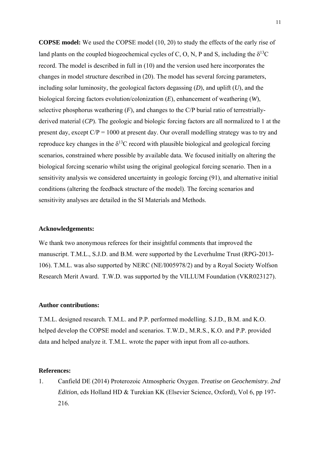**COPSE model:** We used the COPSE model (10, 20) to study the effects of the early rise of land plants on the coupled biogeochemical cycles of C, O, N, P and S, including the  $\delta^{13}C$ record. The model is described in full in (10) and the version used here incorporates the changes in model structure described in (20). The model has several forcing parameters, including solar luminosity, the geological factors degassing (*D*), and uplift (*U*), and the biological forcing factors evolution/colonization (*E*), enhancement of weathering (*W*), selective phosphorus weathering (*F*), and changes to the C/P burial ratio of terrestriallyderived material (*CP*). The geologic and biologic forcing factors are all normalized to 1 at the present day, except  $C/P = 1000$  at present day. Our overall modelling strategy was to try and reproduce key changes in the  $\delta^{13}$ C record with plausible biological and geological forcing scenarios, constrained where possible by available data. We focused initially on altering the biological forcing scenario whilst using the original geological forcing scenario. Then in a sensitivity analysis we considered uncertainty in geologic forcing (91), and alternative initial conditions (altering the feedback structure of the model). The forcing scenarios and sensitivity analyses are detailed in the SI Materials and Methods.

# **Acknowledgements:**

We thank two anonymous referees for their insightful comments that improved the manuscript. T.M.L., S.J.D. and B.M. were supported by the Leverhulme Trust (RPG-2013- 106). T.M.L. was also supported by NERC (NE/I005978/2) and by a Royal Society Wolfson Research Merit Award. T.W.D. was supported by the VILLUM Foundation (VKR023127).

## **Author contributions:**

T.M.L. designed research. T.M.L. and P.P. performed modelling. S.J.D., B.M. and K.O. helped develop the COPSE model and scenarios. T.W.D., M.R.S., K.O. and P.P. provided data and helped analyze it. T.M.L. wrote the paper with input from all co-authors.

# **References:**

1. Canfield DE (2014) Proterozoic Atmospheric Oxygen. *Treatise on Geochemistry. 2nd Edition*, eds Holland HD & Turekian KK (Elsevier Science, Oxford), Vol 6, pp 197- 216.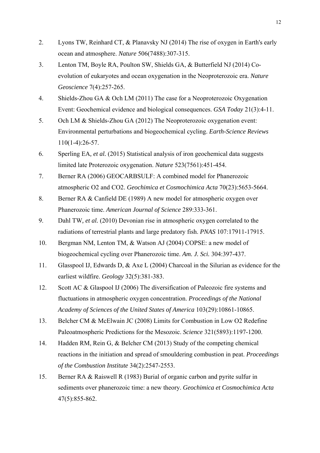- 2. Lyons TW, Reinhard CT, & Planavsky NJ (2014) The rise of oxygen in Earth's early ocean and atmosphere. *Nature* 506(7488):307-315.
- 3. Lenton TM, Boyle RA, Poulton SW, Shields GA, & Butterfield NJ (2014) Coevolution of eukaryotes and ocean oxygenation in the Neoproterozoic era. *Nature Geoscience* 7(4):257-265.
- 4. Shields-Zhou GA & Och LM (2011) The case for a Neoproterozoic Oxygenation Event: Geochemical evidence and biological consequences. *GSA Today* 21(3):4-11.
- 5. Och LM & Shields-Zhou GA (2012) The Neoproterozoic oxygenation event: Environmental perturbations and biogeochemical cycling. *Earth-Science Reviews* 110(1-4):26-57.
- 6. Sperling EA*, et al.* (2015) Statistical analysis of iron geochemical data suggests limited late Proterozoic oxygenation. *Nature* 523(7561):451-454.
- 7. Berner RA (2006) GEOCARBSULF: A combined model for Phanerozoic atmospheric O2 and CO2. *Geochimica et Cosmochimica Acta* 70(23):5653-5664.
- 8. Berner RA & Canfield DE (1989) A new model for atmospheric oxygen over Phanerozoic time. *American Journal of Science* 289:333-361.
- 9. Dahl TW*, et al.* (2010) Devonian rise in atmospheric oxygen correlated to the radiations of terrestrial plants and large predatory fish. *PNAS* 107:17911-17915.
- 10. Bergman NM, Lenton TM, & Watson AJ (2004) COPSE: a new model of biogeochemical cycling over Phanerozoic time. *Am. J. Sci.* 304:397-437.
- 11. Glasspool IJ, Edwards D, & Axe L (2004) Charcoal in the Silurian as evidence for the earliest wildfire. *Geology* 32(5):381-383.
- 12. Scott AC & Glaspool IJ (2006) The diversification of Paleozoic fire systems and fluctuations in atmospheric oxygen concentration. *Proceedings of the National Academy of Sciences of the United States of America* 103(29):10861-10865.
- 13. Belcher CM & McElwain JC (2008) Limits for Combustion in Low O2 Redefine Paleoatmospheric Predictions for the Mesozoic. *Science* 321(5893):1197-1200.
- 14. Hadden RM, Rein G, & Belcher CM (2013) Study of the competing chemical reactions in the initiation and spread of smouldering combustion in peat. *Proceedings of the Combustion Institute* 34(2):2547-2553.
- 15. Berner RA & Raiswell R (1983) Burial of organic carbon and pyrite sulfur in sediments over phanerozoic time: a new theory. *Geochimica et Cosmochimica Acta* 47(5):855-862.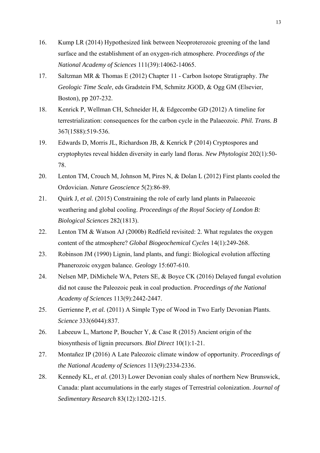- 16. Kump LR (2014) Hypothesized link between Neoproterozoic greening of the land surface and the establishment of an oxygen-rich atmosphere. *Proceedings of the National Academy of Sciences* 111(39):14062-14065.
- 17. Saltzman MR & Thomas E (2012) Chapter 11 Carbon Isotope Stratigraphy. *The Geologic Time Scale*, eds Gradstein FM, Schmitz JGOD, & Ogg GM (Elsevier, Boston), pp 207-232.
- 18. Kenrick P, Wellman CH, Schneider H, & Edgecombe GD (2012) A timeline for terrestrialization: consequences for the carbon cycle in the Palaeozoic. *Phil. Trans. B* 367(1588):519-536.
- 19. Edwards D, Morris JL, Richardson JB, & Kenrick P (2014) Cryptospores and cryptophytes reveal hidden diversity in early land floras. *New Phytologist* 202(1):50- 78.
- 20. Lenton TM, Crouch M, Johnson M, Pires N, & Dolan L (2012) First plants cooled the Ordovician. *Nature Geoscience* 5(2):86-89.
- 21. Quirk J*, et al.* (2015) Constraining the role of early land plants in Palaeozoic weathering and global cooling. *Proceedings of the Royal Society of London B: Biological Sciences* 282(1813).
- 22. Lenton TM & Watson AJ (2000b) Redfield revisited: 2. What regulates the oxygen content of the atmosphere? *Global Biogeochemical Cycles* 14(1):249-268.
- 23. Robinson JM (1990) Lignin, land plants, and fungi: Biological evolution affecting Phanerozoic oxygen balance. *Geology* 15:607-610.
- 24. Nelsen MP, DiMichele WA, Peters SE, & Boyce CK (2016) Delayed fungal evolution did not cause the Paleozoic peak in coal production. *Proceedings of the National Academy of Sciences* 113(9):2442-2447.
- 25. Gerrienne P*, et al.* (2011) A Simple Type of Wood in Two Early Devonian Plants. *Science* 333(6044):837.
- 26. Labeeuw L, Martone P, Boucher Y, & Case R (2015) Ancient origin of the biosynthesis of lignin precursors. *Biol Direct* 10(1):1-21.
- 27. Montañez IP (2016) A Late Paleozoic climate window of opportunity. *Proceedings of the National Academy of Sciences* 113(9):2334-2336.
- 28. Kennedy KL*, et al.* (2013) Lower Devonian coaly shales of northern New Brunswick, Canada: plant accumulations in the early stages of Terrestrial colonization. *Journal of Sedimentary Research* 83(12):1202-1215.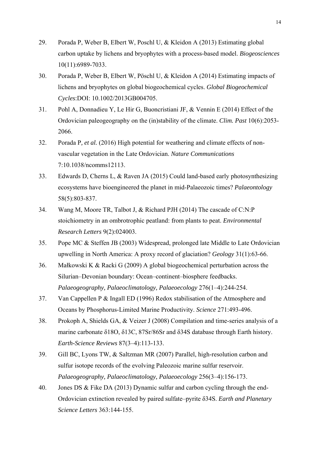- 29. Porada P, Weber B, Elbert W, Poschl U, & Kleidon A (2013) Estimating global carbon uptake by lichens and bryophytes with a process-based model. *Biogeosciences* 10(11):6989-7033.
- 30. Porada P, Weber B, Elbert W, Pöschl U, & Kleidon A (2014) Estimating impacts of lichens and bryophytes on global biogeochemical cycles. *Global Biogeochemical Cycles*:DOI: 10.1002/2013GB004705.
- 31. Pohl A, Donnadieu Y, Le Hir G, Buoncristiani JF, & Vennin E (2014) Effect of the Ordovician paleogeography on the (in)stability of the climate. *Clim. Past* 10(6):2053- 2066.
- 32. Porada P*, et al.* (2016) High potential for weathering and climate effects of nonvascular vegetation in the Late Ordovician. *Nature Communications* 7:10.1038/ncomms12113.
- 33. Edwards D, Cherns L, & Raven JA (2015) Could land-based early photosynthesizing ecosystems have bioengineered the planet in mid-Palaeozoic times? *Palaeontology* 58(5):803-837.
- 34. Wang M, Moore TR, Talbot J, & Richard PJH (2014) The cascade of C:N:P stoichiometry in an ombrotrophic peatland: from plants to peat. *Environmental Research Letters* 9(2):024003.
- 35. Pope MC & Steffen JB (2003) Widespread, prolonged late Middle to Late Ordovician upwelling in North America: A proxy record of glaciation? *Geology* 31(1):63-66.
- 36. Małkowski K & Racki G (2009) A global biogeochemical perturbation across the Silurian–Devonian boundary: Ocean–continent–biosphere feedbacks. *Palaeogeography, Palaeoclimatology, Palaeoecology* 276(1–4):244-254.
- 37. Van Cappellen P & Ingall ED (1996) Redox stabilisation of the Atmosphere and Oceans by Phosphorus-Limited Marine Productivity. *Science* 271:493-496.
- 38. Prokoph A, Shields GA, & Veizer J (2008) Compilation and time-series analysis of a marine carbonate δ18O, δ13C, 87Sr/86Sr and δ34S database through Earth history. *Earth-Science Reviews* 87(3–4):113-133.
- 39. Gill BC, Lyons TW, & Saltzman MR (2007) Parallel, high-resolution carbon and sulfur isotope records of the evolving Paleozoic marine sulfur reservoir. *Palaeogeography, Palaeoclimatology, Palaeoecology* 256(3–4):156-173.
- 40. Jones DS & Fike DA (2013) Dynamic sulfur and carbon cycling through the end-Ordovician extinction revealed by paired sulfate–pyrite δ34S. *Earth and Planetary Science Letters* 363:144-155.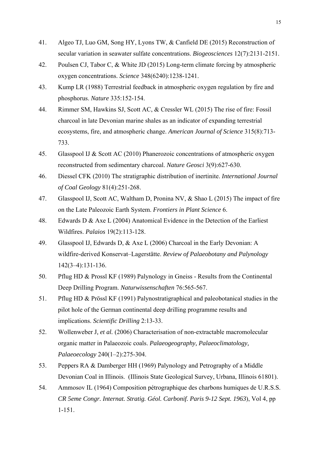- 41. Algeo TJ, Luo GM, Song HY, Lyons TW, & Canfield DE (2015) Reconstruction of secular variation in seawater sulfate concentrations. *Biogeosciences* 12(7):2131-2151.
- 42. Poulsen CJ, Tabor C, & White JD (2015) Long-term climate forcing by atmospheric oxygen concentrations. *Science* 348(6240):1238-1241.
- 43. Kump LR (1988) Terrestrial feedback in atmospheric oxygen regulation by fire and phosphorus. *Nature* 335:152-154.
- 44. Rimmer SM, Hawkins SJ, Scott AC, & Cressler WL (2015) The rise of fire: Fossil charcoal in late Devonian marine shales as an indicator of expanding terrestrial ecosystems, fire, and atmospheric change. *American Journal of Science* 315(8):713- 733.
- 45. Glasspool IJ & Scott AC (2010) Phanerozoic concentrations of atmospheric oxygen reconstructed from sedimentary charcoal. *Nature Geosci* 3(9):627-630.
- 46. Diessel CFK (2010) The stratigraphic distribution of inertinite. *International Journal of Coal Geology* 81(4):251-268.
- 47. Glasspool IJ, Scott AC, Waltham D, Pronina NV, & Shao L (2015) The impact of fire on the Late Paleozoic Earth System. *Frontiers in Plant Science* 6.
- 48. Edwards D & Axe L (2004) Anatomical Evidence in the Detection of the Earliest Wildfires. *Palaios* 19(2):113-128.
- 49. Glasspool IJ, Edwards D, & Axe L (2006) Charcoal in the Early Devonian: A wildfire-derived Konservat–Lagerstätte. *Review of Palaeobotany and Palynology* 142(3–4):131-136.
- 50. Pflug HD & Prossl KF (1989) Palynology in Gneiss Results from the Continental Deep Drilling Program. *Naturwissenschaften* 76:565-567.
- 51. Pflug HD & Prössl KF (1991) Palynostratigraphical and paleobotanical studies in the pilot hole of the German continental deep drilling programme results and implications. *Scientific Drilling* 2:13-33.
- 52. Wollenweber J*, et al.* (2006) Characterisation of non-extractable macromolecular organic matter in Palaeozoic coals. *Palaeogeography, Palaeoclimatology, Palaeoecology* 240(1–2):275-304.
- 53. Peppers RA & Damberger HH (1969) Palynology and Petrography of a Middle Devonian Coal in Illinois. (Illinois State Geological Survey, Urbana, Illinois 61801).
- 54. Ammosov IL (1964) Composition pétrographique des charbons humiques de U.R.S.S. *CR 5eme Congr. Internat. Stratig. Géol. Carbonif. Paris 9-12 Sept. 1963*), Vol 4, pp 1-151.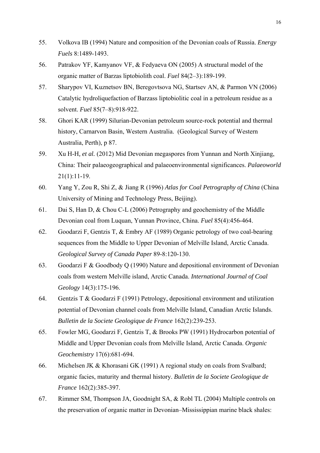- 55. Volkova IB (1994) Nature and composition of the Devonian coals of Russia. *Energy Fuels* 8:1489-1493.
- 56. Patrakov YF, Kamyanov VF, & Fedyaeva ON (2005) A structural model of the organic matter of Barzas liptobiolith coal. *Fuel* 84(2–3):189-199.
- 57. Sharypov VI, Kuznetsov BN, Beregovtsova NG, Startsev AN, & Parmon VN (2006) Catalytic hydroliquefaction of Barzass liptobiolitic coal in a petroleum residue as a solvent. *Fuel* 85(7–8):918-922.
- 58. Ghori KAR (1999) Silurian-Devonian petroleum source-rock potential and thermal history, Carnarvon Basin, Western Australia. (Geological Survey of Western Australia, Perth), p 87.
- 59. Xu H-H*, et al.* (2012) Mid Devonian megaspores from Yunnan and North Xinjiang, China: Their palaeogeographical and palaeoenvironmental significances. *Palaeoworld* 21(1):11-19.
- 60. Yang Y, Zou R, Shi Z, & Jiang R (1996) *Atlas for Coal Petrography of China* (China University of Mining and Technology Press, Beijing).
- 61. Dai S, Han D, & Chou C-L (2006) Petrography and geochemistry of the Middle Devonian coal from Luquan, Yunnan Province, China. *Fuel* 85(4):456-464.
- 62. Goodarzi F, Gentzis T, & Embry AF (1989) Organic petrology of two coal-bearing sequences from the Middle to Upper Devonian of Melville Island, Arctic Canada. *Geological Survey of Canada Paper* 89-8:120-130.
- 63. Goodarzi F & Goodbody Q (1990) Nature and depositional environment of Devonian coals from western Melville island, Arctic Canada. *International Journal of Coal Geology* 14(3):175-196.
- 64. Gentzis T & Goodarzi F (1991) Petrology, depositional environment and utilization potential of Devonian channel coals from Melville Island, Canadian Arctic Islands. *Bulletin de la Societe Geologique de France* 162(2):239-253.
- 65. Fowler MG, Goodarzi F, Gentzis T, & Brooks PW (1991) Hydrocarbon potential of Middle and Upper Devonian coals from Melville Island, Arctic Canada. *Organic Geochemistry* 17(6):681-694.
- 66. Michelsen JK & Khorasani GK (1991) A regional study on coals from Svalbard; organic facies, maturity and thermal history. *Bulletin de la Societe Geologique de France* 162(2):385-397.
- 67. Rimmer SM, Thompson JA, Goodnight SA, & Robl TL (2004) Multiple controls on the preservation of organic matter in Devonian–Mississippian marine black shales: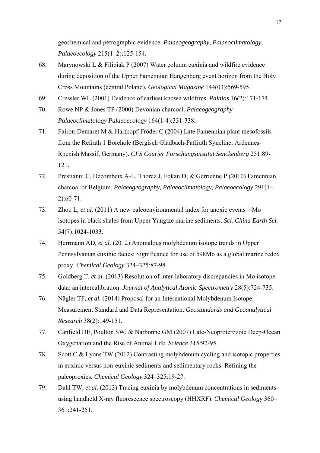geochemical and petrographic evidence. *Palaeogeography, Palaeoclimatology, Palaeoecology* 215(1–2):125-154.

- 68. Marynowski L & Filipiak P (2007) Water column euxinia and wildfire evidence during deposition of the Upper Famennian Hangenberg event horizon from the Holy Cross Mountains (central Poland). *Geological Magazine* 144(03):569-595.
- 69. Cressler WL (2001) Evidence of earliest known wildfires. *Palaios* 16(2):171-174.
- 70. Rowe NP & Jones TP (2000) Devonian charcoal. *Palaeogeography Palaeoclimatology Palaeoecology* 164(1-4):331-338.
- 71. Fairon-Demaret M & Hartkopf-Fröder C (2004) Late Famennian plant mesofossils from the Refrath 1 Borehole (Bergisch Gladbach-Paffrath Syncline; Ardennes-Rhenish Massif, Germany). *CFS Courier Forschungsinstitut Senckenberg* 251:89- 121.
- 72. Prestianni C, Decombeix A-L, Thorez J, Fokan D, & Gerrienne P (2010) Famennian charcoal of Belgium. *Palaeogeography, Palaeoclimatology, Palaeoecology* 291(1– 2):60-71.
- 73. Zhou L*, et al.* (2011) A new paleoenvironmental index for anoxic events—Mo isotopes in black shales from Upper Yangtze marine sediments. *Sci. China Earth Sci.* 54(7):1024-1033.
- 74. Herrmann AD*, et al.* (2012) Anomalous molybdenum isotope trends in Upper Pennsylvanian euxinic facies: Significance for use of δ98Mo as a global marine redox proxy. *Chemical Geology* 324–325:87-98.
- 75. Goldberg T*, et al.* (2013) Resolution of inter-laboratory discrepancies in Mo isotope data: an intercalibration. *Journal of Analytical Atomic Spectrometry* 28(5):724-735.
- 76. Nägler TF*, et al.* (2014) Proposal for an International Molybdenum Isotope Measurement Standard and Data Representation. *Geostandards and Geoanalytical Research* 38(2):149-151.
- 77. Canfield DE, Poulton SW, & Narbonne GM (2007) Late-Neoproterozoic Deep-Ocean Oxygenation and the Rise of Animal Life. *Science* 315:92-95.
- 78. Scott C & Lyons TW (2012) Contrasting molybdenum cycling and isotopic properties in euxinic versus non-euxinic sediments and sedimentary rocks: Refining the paleoproxies. *Chemical Geology* 324–325:19-27.
- 79. Dahl TW*, et al.* (2013) Tracing euxinia by molybdenum concentrations in sediments using handheld X-ray fluorescence spectroscopy (HHXRF). *Chemical Geology* 360– 361:241-251.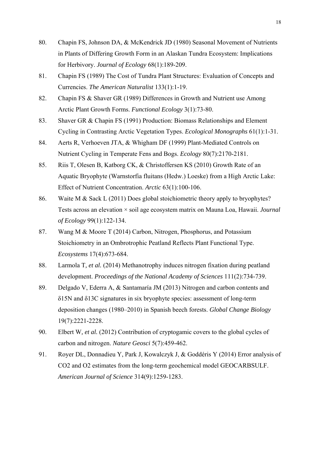- 80. Chapin FS, Johnson DA, & McKendrick JD (1980) Seasonal Movement of Nutrients in Plants of Differing Growth Form in an Alaskan Tundra Ecosystem: Implications for Herbivory. *Journal of Ecology* 68(1):189-209.
- 81. Chapin FS (1989) The Cost of Tundra Plant Structures: Evaluation of Concepts and Currencies. *The American Naturalist* 133(1):1-19.
- 82. Chapin FS & Shaver GR (1989) Differences in Growth and Nutrient use Among Arctic Plant Growth Forms. *Functional Ecology* 3(1):73-80.
- 83. Shaver GR & Chapin FS (1991) Production: Biomass Relationships and Element Cycling in Contrasting Arctic Vegetation Types. *Ecological Monographs* 61(1):1-31.
- 84. Aerts R, Verhoeven JTA, & Whigham DF (1999) Plant-Mediated Controls on Nutrient Cycling in Temperate Fens and Bogs. *Ecology* 80(7):2170-2181.
- 85. Riis T, Olesen B, Katborg CK, & Christoffersen KS (2010) Growth Rate of an Aquatic Bryophyte (Warnstorfia fluitans (Hedw.) Loeske) from a High Arctic Lake: Effect of Nutrient Concentration. *Arctic* 63(1):100-106.
- 86. Waite M & Sack L (2011) Does global stoichiometric theory apply to bryophytes? Tests across an elevation × soil age ecosystem matrix on Mauna Loa, Hawaii. *Journal of Ecology* 99(1):122-134.
- 87. Wang M & Moore T (2014) Carbon, Nitrogen, Phosphorus, and Potassium Stoichiometry in an Ombrotrophic Peatland Reflects Plant Functional Type. *Ecosystems* 17(4):673-684.
- 88. Larmola T*, et al.* (2014) Methanotrophy induces nitrogen fixation during peatland development. *Proceedings of the National Academy of Sciences* 111(2):734-739.
- 89. Delgado V, Ederra A, & Santamaría JM (2013) Nitrogen and carbon contents and δ15N and δ13C signatures in six bryophyte species: assessment of long-term deposition changes (1980–2010) in Spanish beech forests. *Global Change Biology* 19(7):2221-2228.
- 90. Elbert W*, et al.* (2012) Contribution of cryptogamic covers to the global cycles of carbon and nitrogen. *Nature Geosci* 5(7):459-462.
- 91. Royer DL, Donnadieu Y, Park J, Kowalczyk J, & Goddéris Y (2014) Error analysis of CO2 and O2 estimates from the long-term geochemical model GEOCARBSULF. *American Journal of Science* 314(9):1259-1283.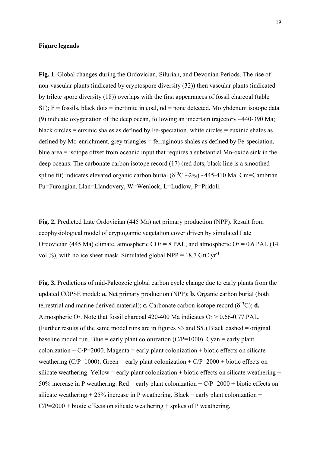## **Figure legends**

**Fig. 1**. Global changes during the Ordovician, Silurian, and Devonian Periods. The rise of non-vascular plants (indicated by cryptospore diversity (32)) then vascular plants (indicated by trilete spore diversity (18)) overlaps with the first appearances of fossil charcoal (table S1);  $F =$  fossils, black dots = inertinite in coal,  $nd =$  none detected. Molybdenum isotope data (9) indicate oxygenation of the deep ocean, following an uncertain trajectory ~440-390 Ma; black circles = euxinic shales as defined by Fe-speciation, white circles = euxinic shales as defined by Mo-enrichment, grey triangles = ferruginous shales as defined by Fe-speciation, blue area = isotope offset from oceanic input that requires a substantial Mn-oxide sink in the deep oceans. The carbonate carbon isotope record (17) (red dots, black line is a smoothed spline fit) indicates elevated organic carbon burial ( $\delta^{13}$ C ~2‰) ~445-410 Ma. Cm=Cambrian, Fu=Furongian, Llan=Llandovery, W=Wenlock, L=Ludlow, P=Pridoli.

**Fig. 2.** Predicted Late Ordovician (445 Ma) net primary production (NPP). Result from ecophysiological model of cryptogamic vegetation cover driven by simulated Late Ordovician (445 Ma) climate, atmospheric  $CO_2 = 8$  PAL, and atmospheric  $O_2 = 0.6$  PAL (14) vol.%), with no ice sheet mask. Simulated global NPP =  $18.7$  GtC yr<sup>-1</sup>.

**Fig. 3.** Predictions of mid-Paleozoic global carbon cycle change due to early plants from the updated COPSE model: **a.** Net primary production (NPP); **b.** Organic carbon burial (both terrestrial and marine derived material); **c.** Carbonate carbon isotope record  $(\delta^{13}C)$ ; **d.** Atmospheric O<sub>2</sub>. Note that fossil charcoal 420-400 Ma indicates  $O_2 > 0.66$ -0.77 PAL. (Further results of the same model runs are in figures S3 and S5.) Black dashed = original baseline model run. Blue = early plant colonization  $(C/P=1000)$ . Cyan = early plant colonization  $+C/P=2000$ . Magenta = early plant colonization + biotic effects on silicate weathering (C/P=1000). Green = early plant colonization + C/P=2000 + biotic effects on silicate weathering. Yellow = early plant colonization + biotic effects on silicate weathering + 50% increase in P weathering. Red = early plant colonization +  $C/P=2000$  + biotic effects on silicate weathering  $+ 25\%$  increase in P weathering. Black = early plant colonization  $+$  $C/P=2000 + biotic$  effects on silicate weathering + spikes of P weathering.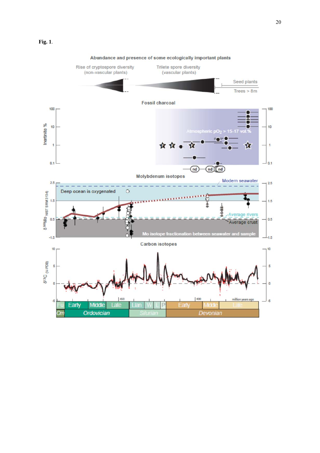

#### Abundance and presence of some ecologically important plants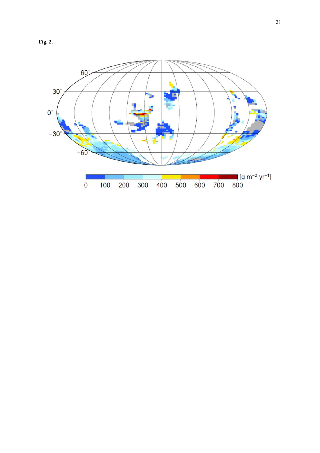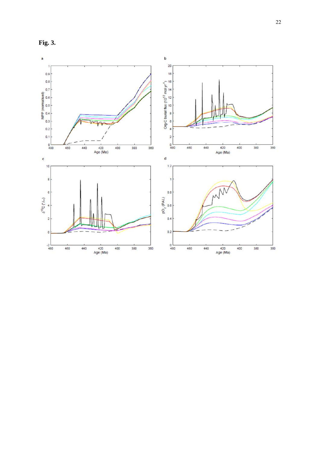

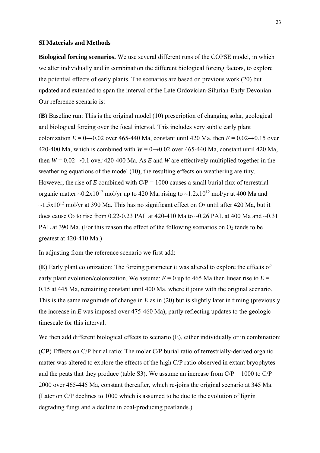#### **SI Materials and Methods**

**Biological forcing scenarios.** We use several different runs of the COPSE model, in which we alter individually and in combination the different biological forcing factors, to explore the potential effects of early plants. The scenarios are based on previous work (20) but updated and extended to span the interval of the Late Ordovician-Silurian-Early Devonian. Our reference scenario is:

(**B**) Baseline run: This is the original model (10) prescription of changing solar, geological and biological forcing over the focal interval. This includes very subtle early plant colonization  $E = 0 \rightarrow 0.02$  over 465-440 Ma, constant until 420 Ma, then  $E = 0.02 \rightarrow 0.15$  over 420-400 Ma, which is combined with  $W = 0 \rightarrow 0.02$  over 465-440 Ma, constant until 420 Ma, then  $W = 0.02 \rightarrow 0.1$  over 420-400 Ma. As *E* and *W* are effectively multiplied together in the weathering equations of the model (10), the resulting effects on weathering are tiny. However, the rise of  $E$  combined with  $C/P = 1000$  causes a small burial flux of terrestrial organic matter  $\sim 0.2x10^{12}$  mol/yr up to 420 Ma, rising to  $\sim 1.2x10^{12}$  mol/yr at 400 Ma and  $\sim$ 1.5x10<sup>12</sup> mol/vr at 390 Ma. This has no significant effect on O<sub>2</sub> until after 420 Ma, but it does cause  $O_2$  to rise from 0.22-0.23 PAL at 420-410 Ma to ~0.26 PAL at 400 Ma and ~0.31 PAL at 390 Ma. (For this reason the effect of the following scenarios on  $O_2$  tends to be greatest at 420-410 Ma.)

In adjusting from the reference scenario we first add:

(**E**) Early plant colonization: The forcing parameter *E* was altered to explore the effects of early plant evolution/colonization. We assume:  $E = 0$  up to 465 Ma then linear rise to  $E =$ 0.15 at 445 Ma, remaining constant until 400 Ma, where it joins with the original scenario. This is the same magnitude of change in *E* as in (20) but is slightly later in timing (previously the increase in *E* was imposed over 475-460 Ma), partly reflecting updates to the geologic timescale for this interval.

We then add different biological effects to scenario (E), either individually or in combination:

(**CP**) Effects on C/P burial ratio: The molar C/P burial ratio of terrestrially-derived organic matter was altered to explore the effects of the high C/P ratio observed in extant bryophytes and the peats that they produce (table S3). We assume an increase from  $C/P = 1000$  to  $C/P = 1000$ 2000 over 465-445 Ma, constant thereafter, which re-joins the original scenario at 345 Ma. (Later on C/P declines to 1000 which is assumed to be due to the evolution of lignin degrading fungi and a decline in coal-producing peatlands.)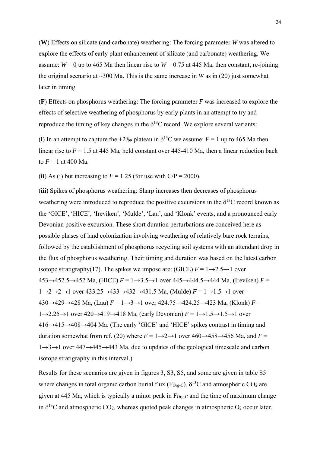(**W**) Effects on silicate (and carbonate) weathering: The forcing parameter *W* was altered to explore the effects of early plant enhancement of silicate (and carbonate) weathering. We assume:  $W = 0$  up to 465 Ma then linear rise to  $W = 0.75$  at 445 Ma, then constant, re-joining the original scenario at  $\sim$ 300 Ma. This is the same increase in *W* as in (20) just somewhat later in timing.

(**F**) Effects on phosphorus weathering: The forcing parameter *F* was increased to explore the effects of selective weathering of phosphorus by early plants in an attempt to try and reproduce the timing of key changes in the  $\delta^{13}$ C record. We explore several variants:

(**i**) In an attempt to capture the +2‰ plateau in  $\delta^{13}$ C we assume:  $F = 1$  up to 465 Ma then linear rise to  $F = 1.5$  at 445 Ma, held constant over 445-410 Ma, then a linear reduction back to  $F = 1$  at 400 Ma.

(**ii**) As (i) but increasing to  $F = 1.25$  (for use with  $C/P = 2000$ ).

(**iii**) Spikes of phosphorus weathering: Sharp increases then decreases of phosphorus weathering were introduced to reproduce the positive excursions in the  $\delta^{13}C$  record known as the 'GICE', 'HICE', 'Ireviken', 'Mulde', 'Lau', and 'Klonk' events, and a pronounced early Devonian positive excursion. These short duration perturbations are conceived here as possible phases of land colonization involving weathering of relatively bare rock terrains, followed by the establishment of phosphorus recycling soil systems with an attendant drop in the flux of phosphorus weathering. Their timing and duration was based on the latest carbon isotope stratigraphy(17). The spikes we impose are: (GICE)  $F = 1 \rightarrow 2.5 \rightarrow 1$  over 453→452.5→452 Ma, (HICE) *F* = 1→3.5→1 over 445→444.5→444 Ma, (Ireviken) *F* = 1→2→2→1 over 433.25→433→432→431.5 Ma, (Mulde) *F* = 1→1.5→1 over 430→429→428 Ma, (Lau) *F* = 1→3→1 over 424.75→424.25→423 Ma, (Klonk) *F* = 1→2.25→1 over 420→419→418 Ma, (early Devonian) *F* = 1→1.5→1.5→1 over 416→415→408→404 Ma. (The early 'GICE' and 'HICE' spikes contrast in timing and duration somewhat from ref. (20) where  $F = 1 \rightarrow 2 \rightarrow 1$  over  $460 \rightarrow 458 \rightarrow 456$  Ma, and  $F =$ 1→3→1 over 447→445→443 Ma, due to updates of the geological timescale and carbon isotope stratigraphy in this interval.)

Results for these scenarios are given in figures 3, S3, S5, and some are given in table S5 where changes in total organic carbon burial flux (F<sub>Org-C</sub>),  $\delta^{13}$ C and atmospheric CO<sub>2</sub> are given at 445 Ma, which is typically a minor peak in  $F_{Org-C}$  and the time of maximum change in  $\delta^{13}$ C and atmospheric CO<sub>2</sub>, whereas quoted peak changes in atmospheric O<sub>2</sub> occur later.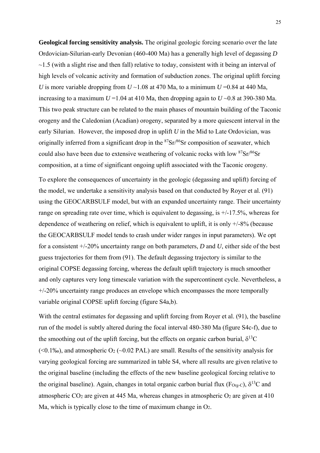**Geological forcing sensitivity analysis.** The original geologic forcing scenario over the late Ordovician-Silurian-early Devonian (460-400 Ma) has a generally high level of degassing *D*  $\sim$ 1.5 (with a slight rise and then fall) relative to today, consistent with it being an interval of high levels of volcanic activity and formation of subduction zones. The original uplift forcing *U* is more variable dropping from  $U \sim 1.08$  at 470 Ma, to a minimum  $U = 0.84$  at 440 Ma, increasing to a maximum  $U = 1.04$  at 410 Ma, then dropping again to  $U \sim 0.8$  at 390-380 Ma. This two peak structure can be related to the main phases of mountain building of the Taconic orogeny and the Caledonian (Acadian) orogeny, separated by a more quiescent interval in the early Silurian. However, the imposed drop in uplift *U* in the Mid to Late Ordovician, was originally inferred from a significant drop in the  $87\text{Sr}}/86\text{Sr}$  composition of seawater, which could also have been due to extensive weathering of volcanic rocks with low  $87\text{Sr}/86\text{Sr}$ composition, at a time of significant ongoing uplift associated with the Taconic orogeny.

To explore the consequences of uncertainty in the geologic (degassing and uplift) forcing of the model, we undertake a sensitivity analysis based on that conducted by Royer et al. (91) using the GEOCARBSULF model, but with an expanded uncertainty range. Their uncertainty range on spreading rate over time, which is equivalent to degassing, is  $+/-17.5\%$ , whereas for dependence of weathering on relief, which is equivalent to uplift, it is only +/-8% (because the GEOCARBSULF model tends to crash under wider ranges in input parameters). We opt for a consistent +/-20% uncertainty range on both parameters, *D* and *U*, either side of the best guess trajectories for them from (91). The default degassing trajectory is similar to the original COPSE degassing forcing, whereas the default uplift trajectory is much smoother and only captures very long timescale variation with the supercontinent cycle. Nevertheless, a +/-20% uncertainty range produces an envelope which encompasses the more temporally variable original COPSE uplift forcing (figure S4a,b).

With the central estimates for degassing and uplift forcing from Royer et al. (91), the baseline run of the model is subtly altered during the focal interval 480-380 Ma (figure S4c-f), due to the smoothing out of the uplift forcing, but the effects on organic carbon burial,  $\delta^{13}C$  $(<0.1\%)$ , and atmospheric  $O<sub>2</sub>(<0.02 \text{ PAL})$  are small. Results of the sensitivity analysis for varying geological forcing are summarized in table S4, where all results are given relative to the original baseline (including the effects of the new baseline geological forcing relative to the original baseline). Again, changes in total organic carbon burial flux ( $F_{Org-C}$ ),  $\delta^{13}C$  and atmospheric  $CO<sub>2</sub>$  are given at 445 Ma, whereas changes in atmospheric  $O<sub>2</sub>$  are given at 410 Ma, which is typically close to the time of maximum change in  $O_2$ .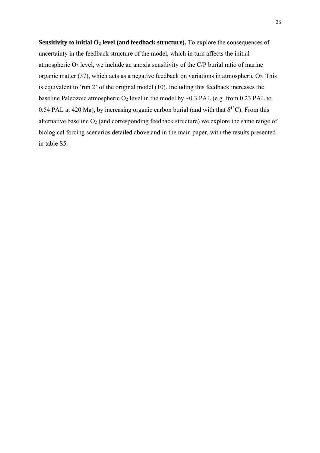**Sensitivity to initial O<sub>2</sub> level (and feedback structure).** To explore the consequences of uncertainty in the feedback structure of the model, which in turn affects the initial atmospheric  $O_2$  level, we include an anoxia sensitivity of the  $C/P$  burial ratio of marine organic matter  $(37)$ , which acts as a negative feedback on variations in atmospheric  $O<sub>2</sub>$ . This is equivalent to 'run 2' of the original model (10). Including this feedback increases the baseline Paleozoic atmospheric  $O_2$  level in the model by  $\sim 0.3$  PAL (e.g. from 0.23 PAL to 0.54 PAL at 420 Ma), by increasing organic carbon burial (and with that  $\delta^{13}$ C). From this alternative baseline  $O_2$  (and corresponding feedback structure) we explore the same range of biological forcing scenarios detailed above and in the main paper, with the results presented in table S5.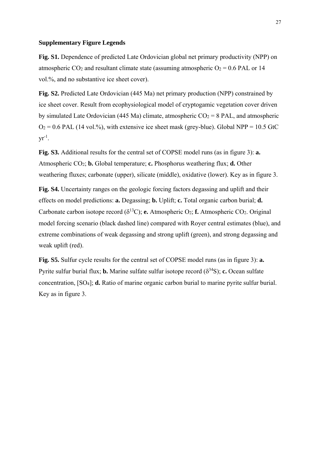#### **Supplementary Figure Legends**

**Fig. S1.** Dependence of predicted Late Ordovician global net primary productivity (NPP) on atmospheric CO<sub>2</sub> and resultant climate state (assuming atmospheric  $O_2 = 0.6$  PAL or 14 vol.%, and no substantive ice sheet cover).

**Fig. S2.** Predicted Late Ordovician (445 Ma) net primary production (NPP) constrained by ice sheet cover. Result from ecophysiological model of cryptogamic vegetation cover driven by simulated Late Ordovician (445 Ma) climate, atmospheric  $CO_2 = 8$  PAL, and atmospheric  $Q_2 = 0.6$  PAL (14 vol.%), with extensive ice sheet mask (grey-blue). Global NPP = 10.5 GtC  $yr^{-1}$ .

**Fig. S3.** Additional results for the central set of COPSE model runs (as in figure 3): **a.** Atmospheric CO2; **b.** Global temperature; **c.** Phosphorus weathering flux; **d.** Other weathering fluxes; carbonate (upper), silicate (middle), oxidative (lower). Key as in figure 3.

**Fig. S4.** Uncertainty ranges on the geologic forcing factors degassing and uplift and their effects on model predictions: **a.** Degassing; **b.** Uplift; **c.** Total organic carbon burial; **d.** Carbonate carbon isotope record  $(\delta^{13}C)$ ; **e.** Atmospheric O<sub>2</sub>; **f.** Atmospheric CO<sub>2</sub>. Original model forcing scenario (black dashed line) compared with Royer central estimates (blue), and extreme combinations of weak degassing and strong uplift (green), and strong degassing and weak uplift (red).

**Fig. S5.** Sulfur cycle results for the central set of COPSE model runs (as in figure 3): **a.**  Pyrite sulfur burial flux; **b.** Marine sulfate sulfur isotope record  $(\delta^{34}S)$ ; **c.** Ocean sulfate concentration, [SO4]; **d.** Ratio of marine organic carbon burial to marine pyrite sulfur burial. Key as in figure 3.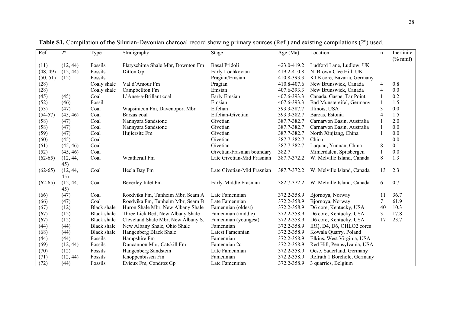| Ref.      | $2^{\circ}$ | Type               | Stratigraphy                       | Stage                      | Age (Ma)    | Location                    | $\mathbf n$              | Inertinite<br>$(\%$ mmf) |
|-----------|-------------|--------------------|------------------------------------|----------------------------|-------------|-----------------------------|--------------------------|--------------------------|
| (11)      | (12, 44)    | Fossils            | Platyschima Shale Mbr, Downton Fm  | <b>Basal Pridoli</b>       | 423.0-419.2 | Ludford Lane, Ludlow, UK    |                          |                          |
| (48, 49)  | (12, 44)    | Fossils            | Ditton Gp                          | Early Lochkovian           | 419.2-410.8 | N. Brown Clee Hill, UK      |                          |                          |
| (50, 51)  | (12)        | Fossils            |                                    | Pragian/Emsian             | 410.8-393.3 | KTB core, Bavaria, Germany  |                          |                          |
| (28)      |             | Coaly shale        | Val d'Amour Fm                     | Pragian                    | 410.8-407.6 | New Brunswick, Canada       | 4                        | 0.8                      |
| (28)      |             | Coaly shale        | Campbellton Fm                     | Emsian                     | 407.6-393.3 | New Brunswick, Canada       | 4                        | $0.0\,$                  |
| (45)      | (45)        | Coal               | L'Anse-a-Brillant coal             | Early Emsian               | 407.6-393.3 | Canada, Gaspe, Tar Point    |                          | 0.2                      |
| (52)      | (46)        | Fossil             |                                    | Emsian                     | 407.6-393.3 | Bad Munstereifel, Germany   |                          | 1.5                      |
| (53)      | (47)        | Coal               | Wapsinicon Fm, Davenoport Mbr      | Eifelian                   | 393.3-387.7 | Illinois, USA               | $\overline{\mathbf{3}}$  | 0.0                      |
| $(54-57)$ | (45, 46)    | Coal               | Barzas coal                        | Eifelian-Givetian          | 393.3-382.7 | Barzas, Estonia             | $\overline{\mathcal{A}}$ | 1.5                      |
| (58)      | (47)        | Coal               | Nannyara Sandstone                 | Givetian                   | 387.7-382.7 | Carnarvon Basin, Australia  |                          | 2.0                      |
| (58)      | (47)        | Coal               | Nannyara Sandstone                 | Givetian                   | 387.7-382.7 | Carnarvon Basin, Australia  |                          | 0.0                      |
| (59)      | (47)        | Coal               | Hujiersite Fm                      | Givetian                   | 387.7-382.7 | North Xinjiang, China       |                          | 0.0                      |
| (60)      | (45)        | Coal               |                                    | Givetian                   | 387.7-382.7 | China                       |                          | 0.0                      |
| (61)      | (45, 46)    | Coal               |                                    | Givetian                   | 387.7-382.7 | Luquan, Yunnan, China       | 8                        | 0.1                      |
| (52)      | (45, 46)    | Coal               |                                    | Givetian-Frasnian boundary | 382.7       | Mimerdalen, Spitsbergen     |                          | 0.0                      |
| $(62-65)$ | (12, 44,    | Coal               | Weatherall Fm                      | Late Givetian-Mid Frasnian | 387.7-372.2 | W. Melville Island, Canada  | 8                        | 1.3                      |
|           | 45)         |                    |                                    |                            |             |                             |                          |                          |
| $(62-65)$ | (12, 44,    | Coal               | Hecla Bay Fm                       | Late Givetian-Mid Frasnian | 387.7-372.2 | W. Melville Island, Canada  | 13                       | 2.3                      |
|           | 45)         |                    |                                    |                            |             |                             |                          |                          |
| $(62-65)$ | (12, 44,    | Coal               | Beverley Inlet Fm                  | Early-Middle Frasnian      | 382.7-372.2 | W. Melville Island, Canada  | 6                        | 0.7                      |
|           | 45)         |                    |                                    |                            |             |                             |                          |                          |
| (66)      | (47)        | Coal               | Roedvika Fm, Tunheim Mbr, Seam A   | Late Famennian             | 372.2-358.9 | Bjornoya, Norway            | 11                       | 36.7                     |
| (66)      | (47)        | Coal               | Roedvika Fm, Tunheim Mbr, Seam B   | Late Famennian             | 372.2-358.9 | Bjornoya, Norway            | 7                        | 61.9                     |
| (67)      | (12)        | <b>Black</b> shale | Huron Shale Mbr, New Albany Shale  | Famennian (oldest)         | 372.2-358.9 | D6 core, Kentucky, USA      | 40                       | 10.3                     |
| (67)      | (12)        | <b>Black</b> shale | Three Lick Bed, New Albany Shale   | Famennian (middle)         | 372.2-358.9 | D6 core, Kentucky, USA      | 3                        | 17.8                     |
| (67)      | (12)        | <b>Black</b> shale | Cleveland Shale Mbr, New Albany S. | Famennian (youngest)       | 372.2-358.9 | D6 core, Kentucky, USA      | 17                       | 23.7                     |
| (44)      | (44)        | <b>Black</b> shale | New Albany Shale, Ohio Shale       | Famennian                  | 372.2-358.9 | IRQ, D4, D6, OHLO2 cores    |                          |                          |
| (68)      | (44)        | <b>Black</b> shale | Hangenberg Black Shale             | Latest Famennian           | 372.2-358.9 | Kowala Quarry, Poland       |                          |                          |
| (44)      | (44)        | Fossils            | Hampshire Fm                       | Famennian                  | 372.2-358.9 | Elkins, West Virginia, USA  |                          |                          |
| (69)      | (12, 44)    | Fossils            | Duncannon Mbr, Catskill Fm         | Famennian 2c               | 372.2-358.9 | Red Hill, Pennsylvania, USA |                          |                          |
| (70)      | (12)        | Fossils            | Hangenberg Sandstein               | Late Famennian             | 372.2-358.9 | Oese, Sauerland, Germany    |                          |                          |
| (71)      | (12, 44)    | Fossils            | Knoppenbissen Fm                   | Famennian                  | 372.2-358.9 | Refrath 1 Borehole, Germany |                          |                          |
| (72)      | (44)        | Fossils            | Evieux Fm, Condroz Gp              | Late Famennian             | 372.2-358.9 | 3 quarries, Belgium         |                          |                          |

Table S1. Compilation of the Silurian-Devonian charcoal record showing primary sources (Ref.) and existing compilations (2°) used.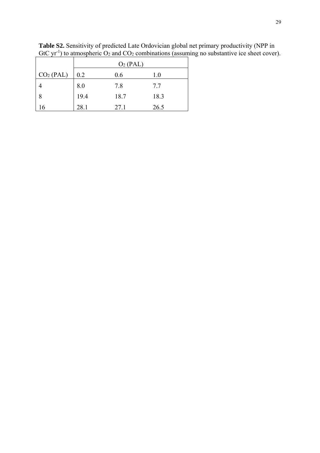|                       | O <sub>2</sub> (PAL) |      |      |  |  |  |  |
|-----------------------|----------------------|------|------|--|--|--|--|
| CO <sub>2</sub> (PAL) | 0.2                  | 0.6  | 1.0  |  |  |  |  |
|                       | 8.0                  | 7.8  | 7.7  |  |  |  |  |
| 8                     | 19.4                 | 18.7 | 18.3 |  |  |  |  |
| 16                    | 28.1                 | 27.1 | 26.5 |  |  |  |  |

**Table S2.** Sensitivity of predicted Late Ordovician global net primary productivity (NPP in GtC  $yr^{-1}$ ) to atmospheric  $O_2$  and  $CO_2$  combinations (assuming no substantive ice sheet cover).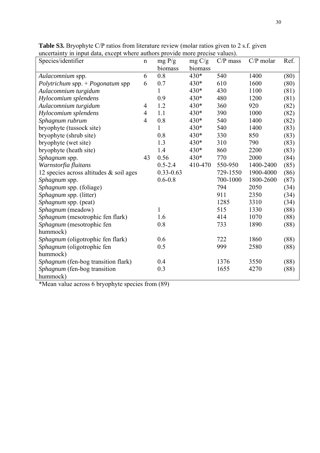| Species/identifier                         | $\mathbf n$    | mg P/g        | mg C/g  | $C/P$ mass | $C/P$ molar | Ref. |
|--------------------------------------------|----------------|---------------|---------|------------|-------------|------|
|                                            |                | biomass       | biomass |            |             |      |
| Aulacomnium spp.                           | 6              | 0.8           | 430*    | 540        | 1400        | (80) |
| Polytrichum spp. + Pogonatum spp           | 6              | 0.7           | $430*$  | 610        | 1600        | (80) |
| Aulacomnium turgidum                       |                | 1             | 430*    | 430        | 1100        | (81) |
| Hylocomium splendens                       |                | 0.9           | 430*    | 480        | 1200        | (81) |
| Aulacomnium turgidum                       | 4              | 1.2           | 430*    | 360        | 920         | (82) |
| Hylocomium splendens                       | 4              | 1.1           | $430*$  | 390        | 1000        | (82) |
| Sphagnum rubrum                            | $\overline{4}$ | 0.8           | 430*    | 540        | 1400        | (82) |
| bryophyte (tussock site)                   |                | 1             | 430*    | 540        | 1400        | (83) |
| bryophyte (shrub site)                     |                | 0.8           | 430*    | 330        | 850         | (83) |
| bryophyte (wet site)                       |                | 1.3           | 430*    | 310        | 790         | (83) |
| bryophyte (heath site)                     |                | 1.4           | 430*    | 860        | 2200        | (83) |
| Sphagnum spp.                              | 43             | 0.56          | $430*$  | 770        | 2000        | (84) |
| Warnstorfia fluitans                       |                | $0.5 - 2.4$   | 410-470 | 550-950    | 1400-2400   | (85) |
| 12 species across altitudes $\&$ soil ages |                | $0.33 - 0.63$ |         | 729-1550   | 1900-4000   | (86) |
| <i>Sphagnum</i> spp.                       |                | $0.6 - 0.8$   |         | 700-1000   | 1800-2600   | (87) |
| Sphagnum spp. (foliage)                    |                |               |         | 794        | 2050        | (34) |
| <i>Sphagnum</i> spp. (litter)              |                |               |         | 911        | 2350        | (34) |
| Sphagnum spp. (peat)                       |                |               |         | 1285       | 3310        | (34) |
| Sphagnum (meadow)                          |                | 1             |         | 515        | 1330        | (88) |
| Sphagnum (mesotrophic fen flark)           |                | 1.6           |         | 414        | 1070        | (88) |
| Sphagnum (mesotrophic fen                  |                | 0.8           |         | 733        | 1890        | (88) |
| hummock)                                   |                |               |         |            |             |      |
| Sphagnum (oligotrophic fen flark)          |                | 0.6           |         | 722        | 1860        | (88) |
| Sphagnum (oligotrophic fen                 |                | 0.5           |         | 999        | 2580        | (88) |
| hummock)                                   |                |               |         |            |             |      |
| Sphagnum (fen-bog transition flark)        |                | 0.4           |         | 1376       | 3550        | (88) |
| Sphagnum (fen-bog transition               |                | 0.3           |         | 1655       | 4270        | (88) |
| hummock)                                   |                |               |         |            |             |      |

**Table S3.** Bryophyte C/P ratios from literature review (molar ratios given to 2 s.f. given uncertainty in input data, except where authors provide more precise values).

\*Mean value across 6 bryophyte species from (89)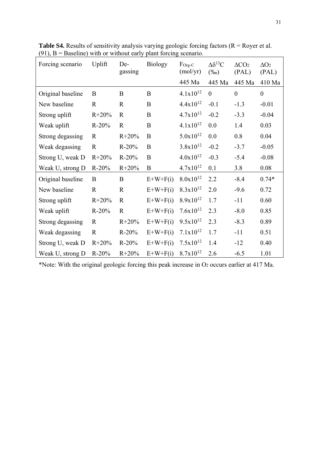| Forcing scenario  | Uplift      | De-<br>gassing | <b>Biology</b> | $F_{\text{Org-}C}$<br>(molyr) | $\Delta \delta^{13}C$<br>$(\%0)$ | $\Delta CO2$<br>(PAL) | $\Delta O_2$<br>(PAL) |
|-------------------|-------------|----------------|----------------|-------------------------------|----------------------------------|-----------------------|-----------------------|
|                   |             |                |                | 445 Ma                        | 445 Ma                           | 445 Ma                | 410 Ma                |
| Original baseline | B           | B              | $\bf{B}$       | $4.1x10^{12}$                 | $\theta$                         | $\mathbf{0}$          | $\overline{0}$        |
| New baseline      | $\mathbf R$ | $\mathbf R$    | $\bf{B}$       | $4.4x10^{12}$                 | $-0.1$                           | $-1.3$                | $-0.01$               |
| Strong uplift     | $R + 20\%$  | $\mathbf R$    | B              | $4.7x10^{12}$                 | $-0.2$                           | $-3.3$                | $-0.04$               |
| Weak uplift       | $R-20%$     | $\mathbf R$    | B              | $4.1x10^{12}$                 | 0.0                              | 1.4                   | 0.03                  |
| Strong degassing  | R           | $R + 20%$      | $\bf{B}$       | $5.0x10^{12}$                 | 0.0                              | 0.8                   | 0.04                  |
| Weak degassing    | $\mathbf R$ | $R-20%$        | B              | $3.8x10^{12}$                 | $-0.2$                           | $-3.7$                | $-0.05$               |
| Strong U, weak D  | $R + 20%$   | $R-20%$        | B              | $4.0x10^{12}$                 | $-0.3$                           | $-5.4$                | $-0.08$               |
| Weak U, strong D  | $R-20%$     | $R + 20%$      | B              | $4.7x10^{12}$                 | 0.1                              | 3.8                   | 0.08                  |
| Original baseline | B           | B              | $E+W+F(i)$     | $8.0x10^{12}$                 | 2.2                              | $-8.4$                | $0.74*$               |
| New baseline      | $\mathbf R$ | $\mathbf R$    | $E+W+F(i)$     | $8.3x10^{12}$                 | 2.0                              | $-9.6$                | 0.72                  |
| Strong uplift     | $R + 20%$   | $\mathbf R$    | $E+W+F(i)$     | $8.9x10^{12}$                 | 1.7                              | $-11$                 | 0.60                  |
| Weak uplift       | $R-20%$     | $\mathbf R$    | $E+W+F(i)$     | $7.6x10^{12}$                 | 2.3                              | $-8.0$                | 0.85                  |
| Strong degassing  | R           | $R + 20%$      | $E+W+F(i)$     | $9.5x10^{12}$                 | 2.3                              | $-8.3$                | 0.89                  |
| Weak degassing    | $\mathbf R$ | $R-20%$        | $E+W+F(i)$     | $7.1x10^{12}$                 | 1.7                              | $-11$                 | 0.51                  |
| Strong U, weak D  | $R + 20%$   | $R-20%$        | $E+W+F(i)$     | $7.5x10^{12}$                 | 1.4                              | $-12$                 | 0.40                  |
| Weak U, strong D  | $R-20%$     | $R + 20%$      | $E+W+F(i)$     | $8.7x10^{12}$                 | 2.6                              | $-6.5$                | 1.01                  |

**Table S4.** Results of sensitivity analysis varying geologic forcing factors (R = Royer et al. (91),  $B = Baseline$ ) with or without early plant forcing scenario.

\*Note: With the original geologic forcing this peak increase in O2 occurs earlier at 417 Ma.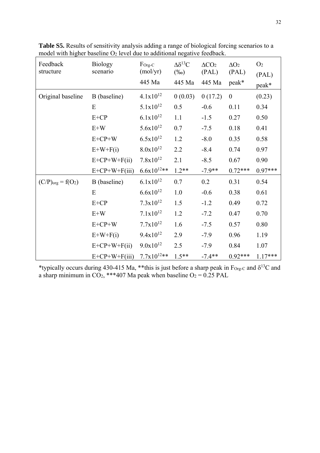| Feedback<br>structure  | <b>Biology</b><br>scenario | $\Gamma$ Org-C<br>(mol/yr) | $\Delta \delta^{13}C$<br>$(\%0)$ | $\Delta CO2$<br>(PAL) | $\Delta O_2$<br>(PAL) | O <sub>2</sub> |
|------------------------|----------------------------|----------------------------|----------------------------------|-----------------------|-----------------------|----------------|
|                        |                            | 445 Ma                     | 445 Ma                           | 445 Ma                | peak*                 | (PAL)          |
|                        |                            |                            |                                  |                       |                       | peak*          |
| Original baseline      | B (baseline)               | $4.1x10^{12}$              | 0(0.03)                          | 0(17.2)               | $\boldsymbol{0}$      | (0.23)         |
|                        | E                          | $5.1x10^{12}$              | 0.5                              | $-0.6$                | 0.11                  | 0.34           |
|                        | $E+CP$                     | $6.1x10^{12}$              | 1.1                              | $-1.5$                | 0.27                  | 0.50           |
|                        | $E+W$                      | $5.6x10^{12}$              | 0.7                              | $-7.5$                | 0.18                  | 0.41           |
|                        | $E+CP+W$                   | $6.5x10^{12}$              | 1.2                              | $-8.0$                | 0.35                  | 0.58           |
|                        | $E+W+F(i)$                 | $8.0x10^{12}$              | 2.2                              | $-8.4$                | 0.74                  | 0.97           |
|                        | $E+CP+W+F(ii)$             | $7.8x10^{12}$              | 2.1                              | $-8.5$                | 0.67                  | 0.90           |
|                        | $E+CP+W+F(iii)$            | $6.6x10^{12**}$            | $1.2**$                          | $-7.9**$              | $0.72***$             | $0.97***$      |
| $(C/P)_{org} = f(O_2)$ | B (baseline)               | $6.1x10^{12}$              | 0.7                              | 0.2                   | 0.31                  | 0.54           |
|                        | E                          | $6.6x10^{12}$              | 1.0                              | $-0.6$                | 0.38                  | 0.61           |
|                        | $E+CP$                     | $7.3x10^{12}$              | 1.5                              | $-1.2$                | 0.49                  | 0.72           |
|                        | $E+W$                      | $7.1x10^{12}$              | 1.2                              | $-7.2$                | 0.47                  | 0.70           |
|                        | $E+CP+W$                   | $7.7x10^{12}$              | 1.6                              | $-7.5$                | 0.57                  | 0.80           |
|                        | $E+W+F(i)$                 | $9.4x10^{12}$              | 2.9                              | $-7.9$                | 0.96                  | 1.19           |
|                        | $E+CP+W+F(ii)$             | $9.0x10^{12}$              | 2.5                              | $-7.9$                | 0.84                  | 1.07           |
|                        | $E+CP+W+F(iii)$            | $7.7x10^{12**}$            | $1.5**$                          | $-7.4**$              | $0.92***$             | $1.17***$      |

**Table S5.** Results of sensitivity analysis adding a range of biological forcing scenarios to a model with higher baseline  $O_2$  level due to additional negative feedback.

\*typically occurs during 430-415 Ma, \*\*this is just before a sharp peak in  $F_{Org-C}$  and  $\delta^{13}C$  and a sharp minimum in  $CO<sub>2</sub>$ , \*\*\*407 Ma peak when baseline  $O<sub>2</sub> = 0.25$  PAL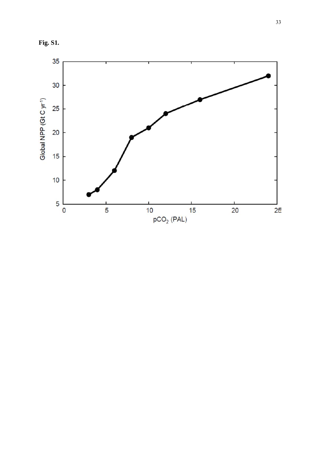**Fig. S1.** 

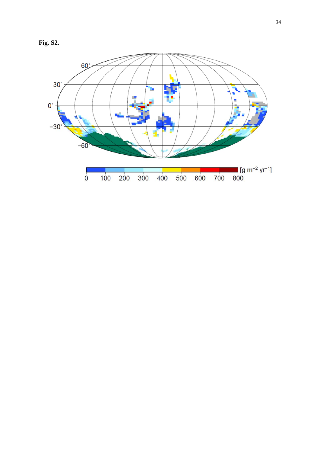**Fig. S2.** 

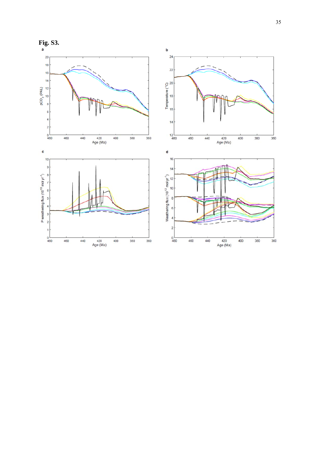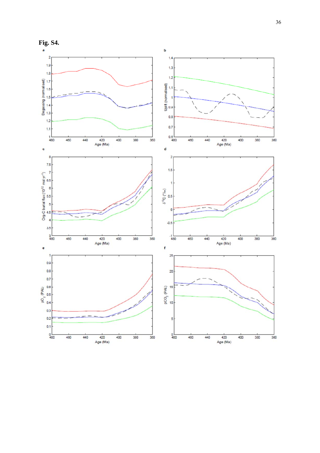